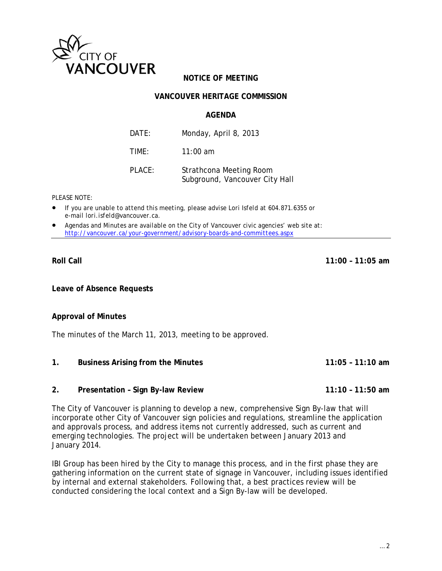

# **NOTICE OF MEETING**

## **VANCOUVER HERITAGE COMMISSION**

### **AGENDA**

| DATE:  | Monday, April 8, 2013                                     |
|--------|-----------------------------------------------------------|
| TIME:  | $11:00$ am                                                |
| PLACE: | Strathcona Meeting Room<br>Subground, Vancouver City Hall |

*PLEASE NOTE:* 

- *If you are unable to attend this meeting, please advise Lori Isfeld at 604.871.6355 or e-mail lori.isfeld@vancouver.ca*.
- *Agendas and Minutes are available on the City of Vancouver civic agencies' web site at: http://vancouver.ca/your-government/advisory-boards-and-committees.aspx*

#### **Roll Call 11:00 – 11:05 am**

**Leave of Absence Requests** 

#### **Approval of Minutes**

The minutes of the March 11, 2013, meeting to be approved.

- **1. Business Arising from the Minutes 11:05 11:10 am**
- **2. Presentation Sign By-law Review 11:10 11:50 am**

The City of Vancouver is planning to develop a new, comprehensive Sign By-law that will incorporate other City of Vancouver sign policies and regulations, streamline the application and approvals process, and address items not currently addressed, such as current and emerging technologies. The project will be undertaken between January 2013 and January 2014.

IBI Group has been hired by the City to manage this process, and in the first phase they are gathering information on the current state of signage in Vancouver, including issues identified by internal and external stakeholders. Following that, a best practices review will be conducted considering the local context and a Sign By-law will be developed.